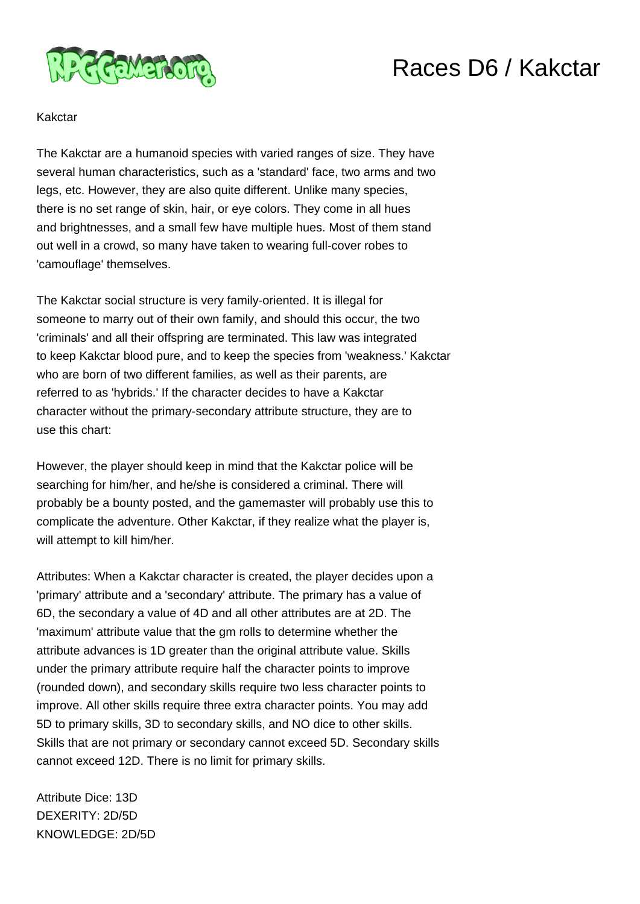

## Races D6 / Kakctar

## Kakctar

The Kakctar are a humanoid species with varied ranges of size. They have several human characteristics, such as a 'standard' face, two arms and two legs, etc. However, they are also quite different. Unlike many species, there is no set range of skin, hair, or eye colors. They come in all hues and brightnesses, and a small few have multiple hues. Most of them stand out well in a crowd, so many have taken to wearing full-cover robes to 'camouflage' themselves.

The Kakctar social structure is very family-oriented. It is illegal for someone to marry out of their own family, and should this occur, the two 'criminals' and all their offspring are terminated. This law was integrated to keep Kakctar blood pure, and to keep the species from 'weakness.' Kakctar who are born of two different families, as well as their parents, are referred to as 'hybrids.' If the character decides to have a Kakctar character without the primary-secondary attribute structure, they are to use this chart:

However, the player should keep in mind that the Kakctar police will be searching for him/her, and he/she is considered a criminal. There will probably be a bounty posted, and the gamemaster will probably use this to complicate the adventure. Other Kakctar, if they realize what the player is, will attempt to kill him/her.

Attributes: When a Kakctar character is created, the player decides upon a 'primary' attribute and a 'secondary' attribute. The primary has a value of 6D, the secondary a value of 4D and all other attributes are at 2D. The 'maximum' attribute value that the gm rolls to determine whether the attribute advances is 1D greater than the original attribute value. Skills under the primary attribute require half the character points to improve (rounded down), and secondary skills require two less character points to improve. All other skills require three extra character points. You may add 5D to primary skills, 3D to secondary skills, and NO dice to other skills. Skills that are not primary or secondary cannot exceed 5D. Secondary skills cannot exceed 12D. There is no limit for primary skills.

Attribute Dice: 13D DEXERITY: 2D/5D KNOWLEDGE: 2D/5D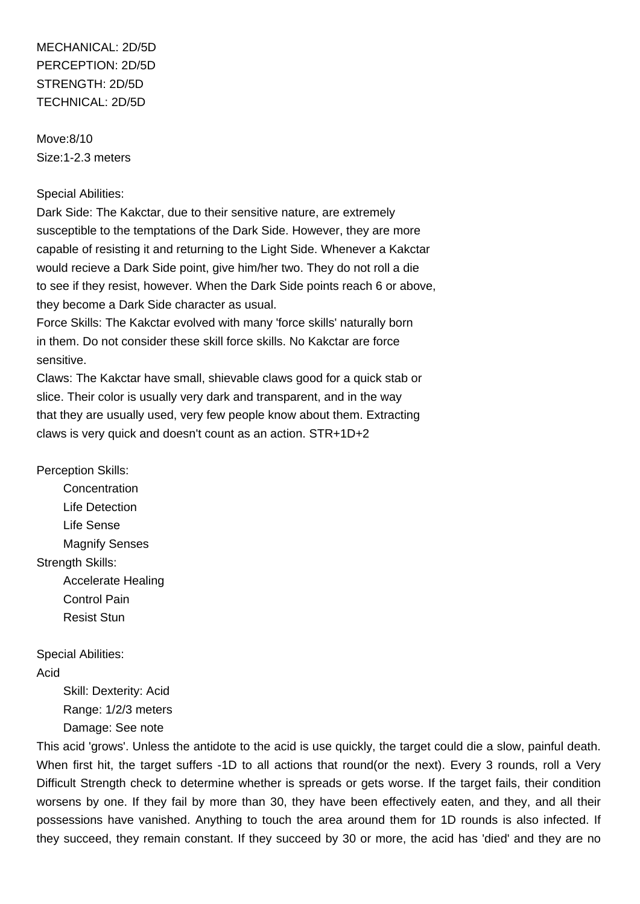MECHANICAL: 2D/5D PERCEPTION: 2D/5D STRENGTH: 2D/5D TECHNICAL: 2D/5D

Move:8/10 Size:1-2.3 meters

## Special Abilities:

Dark Side: The Kakctar, due to their sensitive nature, are extremely susceptible to the temptations of the Dark Side. However, they are more capable of resisting it and returning to the Light Side. Whenever a Kakctar would recieve a Dark Side point, give him/her two. They do not roll a die to see if they resist, however. When the Dark Side points reach 6 or above, they become a Dark Side character as usual.

Force Skills: The Kakctar evolved with many 'force skills' naturally born in them. Do not consider these skill force skills. No Kakctar are force sensitive.

Claws: The Kakctar have small, shievable claws good for a quick stab or slice. Their color is usually very dark and transparent, and in the way that they are usually used, very few people know about them. Extracting claws is very quick and doesn't count as an action. STR+1D+2

Perception Skills:

**Concentration**  Life Detection Life Sense Magnify Senses Strength Skills: Accelerate Healing Control Pain Resist Stun

Special Abilities: Acid

> Skill: Dexterity: Acid Range: 1/2/3 meters Damage: See note

This acid 'grows'. Unless the antidote to the acid is use quickly, the target could die a slow, painful death. When first hit, the target suffers -1D to all actions that round(or the next). Every 3 rounds, roll a Very Difficult Strength check to determine whether is spreads or gets worse. If the target fails, their condition worsens by one. If they fail by more than 30, they have been effectively eaten, and they, and all their possessions have vanished. Anything to touch the area around them for 1D rounds is also infected. If they succeed, they remain constant. If they succeed by 30 or more, the acid has 'died' and they are no